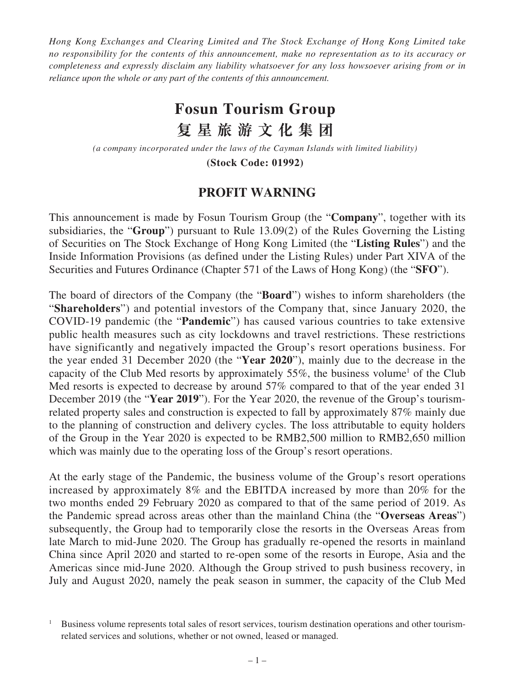*Hong Kong Exchanges and Clearing Limited and The Stock Exchange of Hong Kong Limited take no responsibility for the contents of this announcement, make no representation as to its accuracy or completeness and expressly disclaim any liability whatsoever for any loss howsoever arising from or in reliance upon the whole or any part of the contents of this announcement.*

## **Fosun Tourism Group 復星旅遊文化集 团**

*(a company incorporated under the laws of the Cayman Islands with limited liability)*

**(Stock Code: 01992)**

## **PROFIT WARNING**

This announcement is made by Fosun Tourism Group (the "**Company**", together with its subsidiaries, the "**Group**") pursuant to Rule 13.09(2) of the Rules Governing the Listing of Securities on The Stock Exchange of Hong Kong Limited (the "**Listing Rules**") and the Inside Information Provisions (as defined under the Listing Rules) under Part XIVA of the Securities and Futures Ordinance (Chapter 571 of the Laws of Hong Kong) (the "**SFO**").

The board of directors of the Company (the "**Board**") wishes to inform shareholders (the "**Shareholders**") and potential investors of the Company that, since January 2020, the COVID-19 pandemic (the "**Pandemic**") has caused various countries to take extensive public health measures such as city lockdowns and travel restrictions. These restrictions have significantly and negatively impacted the Group's resort operations business. For the year ended 31 December 2020 (the "**Year 2020**"), mainly due to the decrease in the capacity of the Club Med resorts by approximately  $55\%$ , the business volume<sup>1</sup> of the Club Med resorts is expected to decrease by around 57% compared to that of the year ended 31 December 2019 (the "**Year 2019**"). For the Year 2020, the revenue of the Group's tourismrelated property sales and construction is expected to fall by approximately 87% mainly due to the planning of construction and delivery cycles. The loss attributable to equity holders of the Group in the Year 2020 is expected to be RMB2,500 million to RMB2,650 million which was mainly due to the operating loss of the Group's resort operations.

At the early stage of the Pandemic, the business volume of the Group's resort operations increased by approximately 8% and the EBITDA increased by more than 20% for the two months ended 29 February 2020 as compared to that of the same period of 2019. As the Pandemic spread across areas other than the mainland China (the "**Overseas Areas**") subsequently, the Group had to temporarily close the resorts in the Overseas Areas from late March to mid-June 2020. The Group has gradually re-opened the resorts in mainland China since April 2020 and started to re-open some of the resorts in Europe, Asia and the Americas since mid-June 2020. Although the Group strived to push business recovery, in July and August 2020, namely the peak season in summer, the capacity of the Club Med

<sup>&</sup>lt;sup>1</sup> Business volume represents total sales of resort services, tourism destination operations and other tourismrelated services and solutions, whether or not owned, leased or managed.